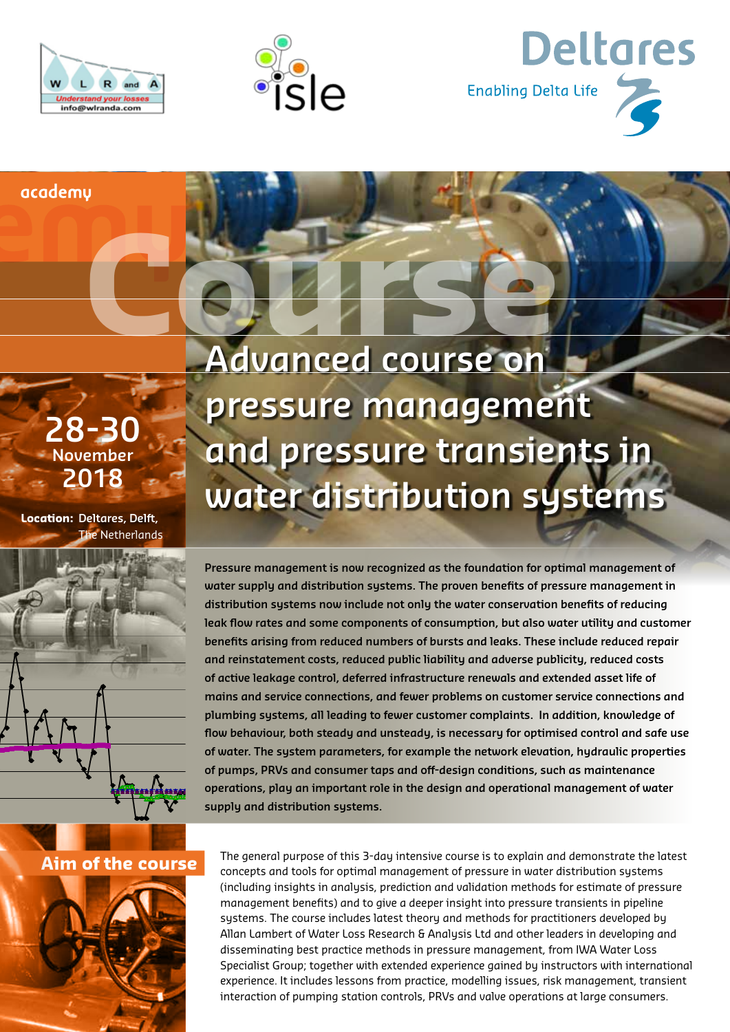





academu

**28-30 November 2018**

**Location: Deltares, Delft,** The Netherlands



**Advanced course on pressure management and pressure transients in water distribution systems** Course

> **Pressure management is now recognized as the foundation for optimal management of water supply and distribution systems. The proven benefits of pressure management in distribution systems now include not only the water conservation benefits of reducing leak flow rates and some components of consumption, but also water utility and customer benefits arising from reduced numbers of bursts and leaks. These include reduced repair and reinstatement costs, reduced public liability and adverse publicity, reduced costs of active leakage control, deferred infrastructure renewals and extended asset life of mains and service connections, and fewer problems on customer service connections and plumbing systems, all leading to fewer customer complaints. In addition, knowledge of flow behaviour, both steady and unsteady, is necessary for optimised control and safe use of water. The system parameters, for example the network elevation, hydraulic properties of pumps, PRVs and consumer taps and off-design conditions, such as maintenance operations, play an important role in the design and operational management of water supply and distribution systems.**

## **Aim of the course**



The general purpose of this 3-day intensive course is to explain and demonstrate the latest concepts and tools for optimal management of pressure in water distribution systems (including insights in analysis, prediction and validation methods for estimate of pressure management benefits) and to give a deeper insight into pressure transients in pipeline systems. The course includes latest theory and methods for practitioners developed by Allan Lambert of Water Loss Research & Analysis Ltd and other leaders in developing and disseminating best practice methods in pressure management, from IWA Water Loss Specialist Group; together with extended experience gained by instructors with international experience. It includes lessons from practice, modelling issues, risk management, transient interaction of pumping station controls, PRVs and valve operations at large consumers.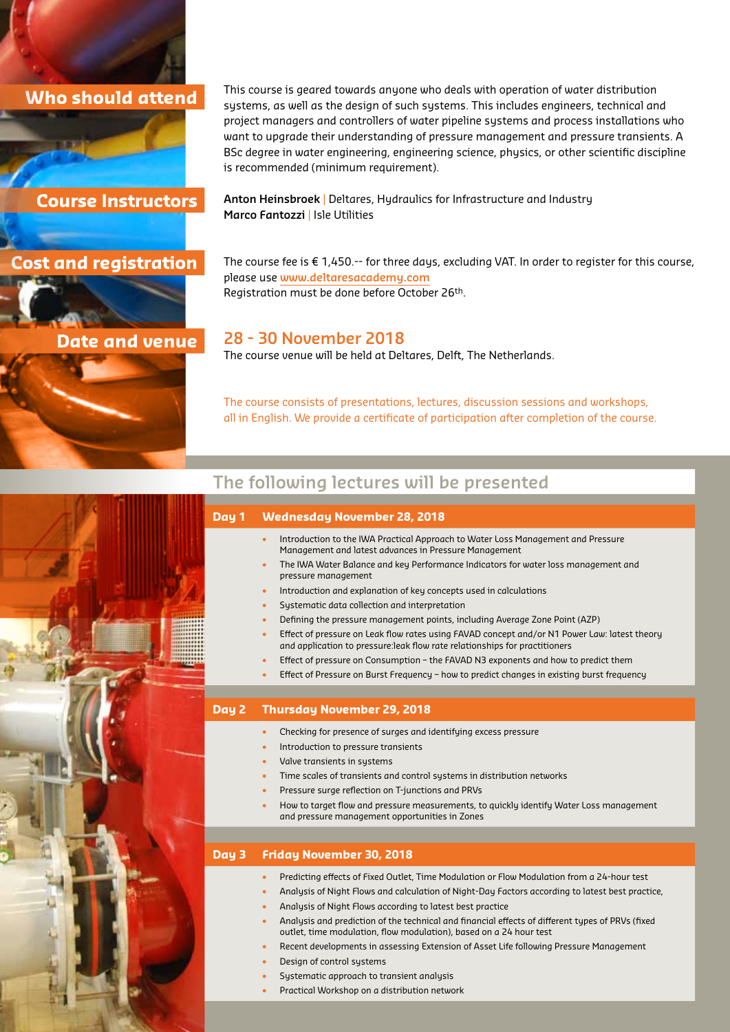## **Who should attend**



**Cost and registration**

## **Date and venue**

This course is geared towards anyone who deals with operation of water distribution systems, as well as the design of such systems. This includes engineers, technical and project managers and controllers of water pipeline systems and process installations who want to upgrade their understanding of pressure management and pressure transients. A BSc degree in water engineering, engineering science, physics, or other scientific discipline is recommended (minimum requirement).

**Anton Heinsbroek** | Deltares, Hydraulics for Infrastructure and Industry **Marco Fantozzi** | Isle Utilities

The course fee is € 1,450.-- for three days, excluding VAT. In order to register for this course, please use **[www.deltaresacademy.com](http://www.deltaresacademy.com)** Registration must be done before October 26th.

## **28 - 30 November 2018**

The course venue will be held at Deltares, Delft, The Netherlands.

The course consists of presentations, lectures, discussion sessions and workshops, all in English. We provide a certificate of participation after completion of the course.

## **The following lectures will be presented**



• Practical Workshop on a distribution network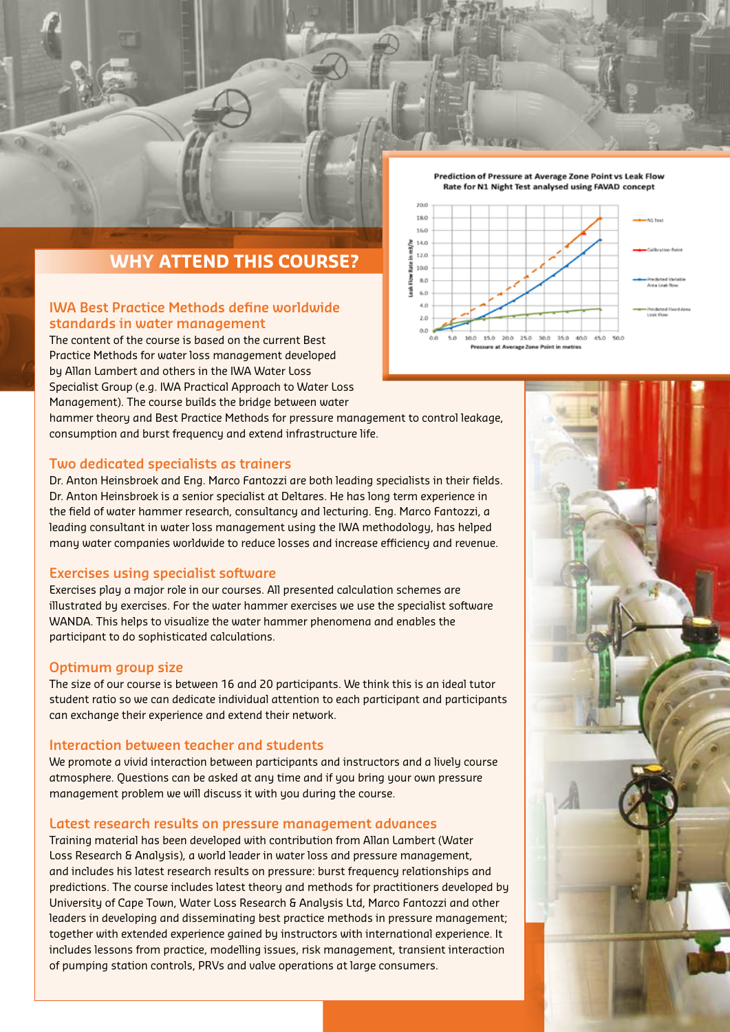



## **WHY ATTEND THIS COURSE?**

#### **IWA Best Practice Methods define worldwide standards in water management**

The content of the course is based on the current Best Practice Methods for water loss management developed by Allan Lambert and others in the IWA Water Loss Specialist Group (e.g. IWA Practical Approach to Water Loss Management). The course builds the bridge between water

hammer theory and Best Practice Methods for pressure management to control leakage, consumption and burst frequency and extend infrastructure life.

### **Two dedicated specialists as trainers**

Dr. Anton Heinsbroek and Eng. Marco Fantozzi are both leading specialists in their fields. Dr. Anton Heinsbroek is a senior specialist at Deltares. He has long term experience in the field of water hammer research, consultancy and lecturing. Eng. Marco Fantozzi, a leading consultant in water loss management using the IWA methodology, has helped many water companies worldwide to reduce losses and increase efficiency and revenue.

#### **Exercises using specialist software**

Exercises play a major role in our courses. All presented calculation schemes are illustrated by exercises. For the water hammer exercises we use the specialist software WANDA. This helps to visualize the water hammer phenomena and enables the participant to do sophisticated calculations.

#### **Optimum group size**

The size of our course is between 16 and 20 participants. We think this is an ideal tutor student ratio so we can dedicate individual attention to each participant and participants can exchange their experience and extend their network.

#### **Interaction between teacher and students**

We promote a vivid interaction between participants and instructors and a lively course atmosphere. Questions can be asked at any time and if you bring your own pressure management problem we will discuss it with you during the course.

#### **Latest research results on pressure management advances**

Training material has been developed with contribution from Allan Lambert (Water Loss Research & Analysis), a world leader in water loss and pressure management, and includes his latest research results on pressure: burst frequency relationships and predictions. The course includes latest theory and methods for practitioners developed by University of Cape Town, Water Loss Research & Analysis Ltd, Marco Fantozzi and other leaders in developing and disseminating best practice methods in pressure management; together with extended experience gained by instructors with international experience. It includes lessons from practice, modelling issues, risk management, transient interaction of pumping station controls, PRVs and valve operations at large consumers.